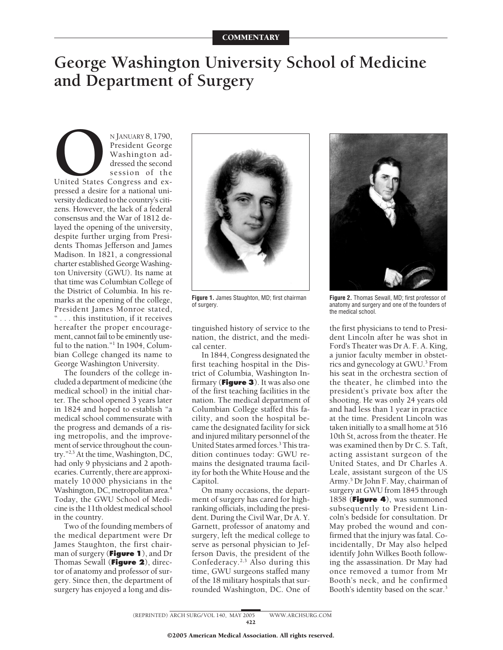## **George Washington University School of Medicine and Department of Surgery**

NJANUARY 8, 1790,<br>President George<br>Washington addressed the second<br>session of the<br>pressed a desire for a national uni-President George Washington addressed the second session of the United States Congress and exversity dedicated to the country's citizens. However, the lack of a federal consensus and the War of 1812 delayed the opening of the university, despite further urging from Presidents Thomas Jefferson and James Madison. In 1821, a congressional charter established GeorgeWashington University (GWU). Its name at that time was Columbian College of the District of Columbia. In his remarks at the opening of the college, President James Monroe stated, "... this institution, if it receives hereafter the proper encouragement, cannot fail to be eminently useful to the nation."<sup>1</sup> In 1904, Columbian College changed its name to George Washington University.

The founders of the college included a department of medicine (the medical school) in the initial charter. The school opened 3 years later in 1824 and hoped to establish "a medical school commensurate with the progress and demands of a rising metropolis, and the improvement of service throughout the country."2,3 At the time, Washington, DC, had only 9 physicians and 2 apothecaries. Currently, there are approximately 10 000 physicians in the Washington, DC, metropolitan area.<sup>4</sup> Today, the GWU School of Medicine is the 11th oldest medical school in the country.

Two of the founding members of the medical department were Dr James Staughton, the first chairman of surgery (**Figure 1**), and Dr Thomas Sewall (**Figure 2**), director of anatomy and professor of surgery. Since then, the department of surgery has enjoyed a long and dis-



**Figure 1.** James Staughton, MD; first chairman of surgery.

tinguished history of service to the nation, the district, and the medical center.

In 1844, Congress designated the first teaching hospital in the District of Columbia, Washington Infirmary (**Figure 3**). It was also one of the first teaching facilities in the nation. The medical department of Columbian College staffed this facility, and soon the hospital became the designated facility for sick and injured military personnel of the United States armed forces.<sup>3</sup> This tradition continues today: GWU remains the designated trauma facility for both the White House and the Capitol.

On many occasions, the department of surgery has cared for highranking officials, including the president. During the Civil War, Dr A. Y. Garnett, professor of anatomy and surgery, left the medical college to serve as personal physician to Jefferson Davis, the president of the Confederacy.2,3 Also during this time, GWU surgeons staffed many of the 18 military hospitals that surrounded Washington, DC. One of



**Figure 2.** Thomas Sewall, MD; first professor of anatomy and surgery and one of the founders of the medical school.

the first physicians to tend to President Lincoln after he was shot in Ford's Theater was Dr A. F. A. King, a junior faculty member in obstetrics and gynecology at GWU.3 From his seat in the orchestra section of the theater, he climbed into the president's private box after the shooting. He was only 24 years old and had less than 1 year in practice at the time. President Lincoln was taken initially to a small home at 516 10th St, across from the theater. He was examined then by Dr C. S. Taft, acting assistant surgeon of the United States, and Dr Charles A. Leale, assistant surgeon of the US Army.5 DrJohn F. May, chairman of surgery at GWU from 1845 through 1858 (**Figure 4**), was summoned subsequently to President Lincoln's bedside for consultation. Dr May probed the wound and confirmed that the injury was fatal. Coincidentally, Dr May also helped identify John Wilkes Booth following the assassination. Dr May had once removed a tumor from Mr Booth's neck, and he confirmed Booth's identity based on the scar.<sup>3</sup>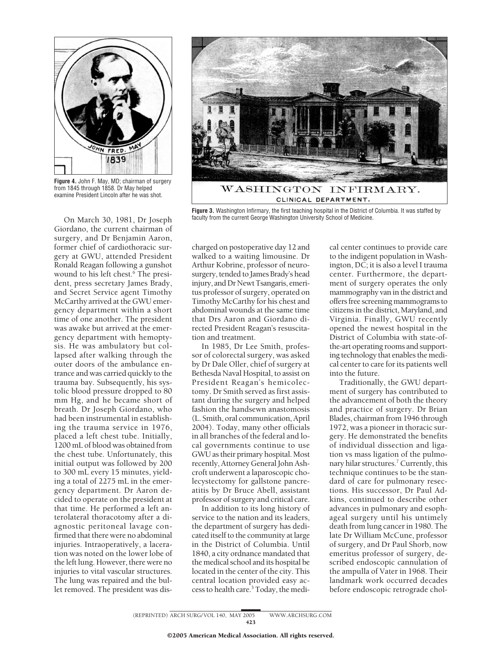

**Figure 4.** John F. May, MD; chairman of surgery from 1845 through 1858. Dr May helped examine President Lincoln after he was shot.

On March 30, 1981, Dr Joseph Giordano, the current chairman of surgery, and Dr Benjamin Aaron, former chief of cardiothoracic surgery at GWU, attended President Ronald Reagan following a gunshot wound to his left chest.<sup>6</sup> The president, press secretary James Brady, and Secret Service agent Timothy McCarthy arrived at the GWU emergency department within a short time of one another. The president was awake but arrived at the emergency department with hemoptysis. He was ambulatory but collapsed after walking through the outer doors of the ambulance entrance and was carried quickly to the trauma bay. Subsequently, his systolic blood pressure dropped to 80 mm Hg, and he became short of breath. Dr Joseph Giordano, who had been instrumental in establishing the trauma service in 1976, placed a left chest tube. Initially, 1200 mL of blood was obtained from the chest tube. Unfortunately, this initial output was followed by 200 to 300 mL every 15 minutes, yielding a total of 2275 mL in the emergency department. Dr Aaron decided to operate on the president at that time. He performed a left anterolateral thoracotomy after a diagnostic peritoneal lavage confirmed that there were no abdominal injuries. Intraoperatively, a laceration was noted on the lower lobe of the left lung. However, there were no injuries to vital vascular structures. The lung was repaired and the bullet removed. The president was dis-



**Figure 3.** Washington Infirmary, the first teaching hospital in the District of Columbia. It was staffed by faculty from the current George Washington University School of Medicine.

charged on postoperative day 12 and walked to a waiting limousine. Dr Arthur Kobrine, professor of neurosurgery, tended to James Brady's head injury, and Dr Newt Tsangaris, emeritus professor of surgery, operated on Timothy McCarthy for his chest and abdominal wounds at the same time that Drs Aaron and Giordano directed President Reagan's resuscitation and treatment.

In 1985, Dr Lee Smith, professor of colorectal surgery, was asked by Dr Dale Oller, chief of surgery at Bethesda Naval Hospital, to assist on President Reagan's hemicolectomy. Dr Smith served as first assistant during the surgery and helped fashion the handsewn anastomosis (L. Smith, oral communication,April 2004). Today, many other officials in all branches of the federal and local governments continue to use GWU astheir primary hospital. Most recently, Attorney General John Ashcroft underwent a laparoscopic cholecystectomy for gallstone pancreatitis by Dr Bruce Abell, assistant professor of surgery and critical care.

In addition to its long history of service to the nation and its leaders, the department of surgery has dedicated itself to the community at large in the District of Columbia. Until 1840, a city ordnance mandated that the medicalschool and its hospital be located in the center of the city. This central location provided easy accessto health care.3 Today, the medical center continues to provide care to the indigent population in Washington, DC; it is also a level I trauma center. Furthermore, the department of surgery operates the only mammography van in the district and offers free screening mammograms to citizens in the district, Maryland, and Virginia. Finally, GWU recently opened the newest hospital in the District of Columbia with state-ofthe-art operating rooms and supporting technology that enables the medical center to care for its patients well into the future.

Traditionally, the GWU department of surgery has contributed to the advancement of both the theory and practice of surgery. Dr Brian Blades, chairman from 1946 through 1972, was a pioneer in thoracic surgery. He demonstrated the benefits of individual dissection and ligation vs mass ligation of the pulmonary hilar structures.<sup>7</sup> Currently, this technique continues to be the standard of care for pulmonary resections. His successor, Dr Paul Adkins, continued to describe other advances in pulmonary and esophageal surgery until his untimely death from lung cancerin 1980. The late Dr William McCune, professor of surgery, and Dr Paul Shorb, now emeritus professor of surgery, described endoscopic cannulation of the ampulla of Vater in 1968. Their landmark work occurred decades before endoscopic retrograde chol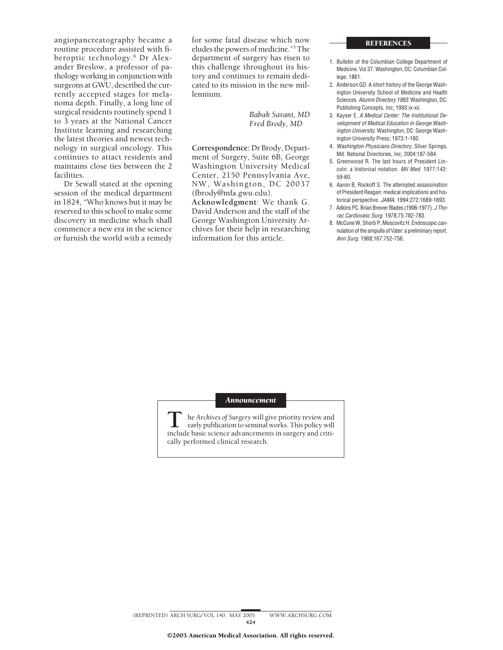routine procedure assisted with fi-<br>beroptic technology.<sup>8</sup> Dr Alex-<br>department of surgery has risen to beroptic technology.<sup>8</sup> Dr Alex-<br>ander Breslow, a professor of pathology working in conjunction with tory and continues to remain dedi-<br>surgeons at GWU. described the cur-<br>cated to its mission in the new mil-<br>2. Anderson GD. A short history of the George Washsurgeons at GWU, described the cur-<br>
rently accepted stages for mela-<br>
lennium<br>
lennium<br>
lennium<br>
and the new mil-<br>
lennium rently accepted stages for mela-<br>
nome danth Finally a long line of the lennium.<br>
Sciences Alumni Directory 1993 Washington DC: noma depth. Finally, a long line of<br>surgical residents routinely spend 1<br>Babak Sarani, MD 3. Kayser E. A Medical Center: The Institutional Deto 3 years at the National Cancer *Fred Brody*, *MD velopment of Medical Education in George Wash-*<br>Institute learning and researching *information in George Wash-*<br>*ington University*, Washington, DC: George Wash-Institute learning and researching **institute learning and researching** *institute learning and researching institute learning and newest tech*-<br>
ington University Press; 1973:1-160. the latest theories and newest tech-<br>
nology in surgical oncology. This Correspondence: Dr Brody, Depart- 4. Washington Physicians Directory. Silver Springs,

or furnish the world with a remedy information for this article. *Ann Surg*. 1968;167:752-756.

angiopancreatography became a for some fatal disease which now<br>routine procedure assisted with fi-<br>eludes the powers of medicine."<sup>3</sup> The this challenge throughout its his-<br>tory and continues to remain dedi-<br>lege: 1861.

mology in surgical oncology. This **Correspondence:** Dr Brody, Depart-<br>
continues to attact residents and ment of Surgery, Suite 6B, George Md: National Directories, Inc; 2004:187-584<br>
maintains close ties between the 2 Was maintains close ties between the 2<br>facilities. Center, 2150 Pennsylvania Ave,<br>Dr Sewall stated at the opening MW, Washington, DC 20037 6. Aaron B, Rockoff S. The attempted assassination NW, Washington, DC 20037 6. Aaron B, Rockoff S. The attempted assassination session of the medical department [\(fbrody@mfa.gwu.edu\)](mailto:fbrody@mfa.gwu.edu). of President Reagan: medical implications and his-<br>in 1824, "Who knows but it may be **Acknowledgment**: We thank G. <sup>torical perspective. JAMA. 1994;272:1689-1693.</sup> torical perspective. *JAMA*. 1994;272:1689-1693.<br>
reserved to this school to make some David Anderson and the staff of the <sup>7. Adkins PC</sup>. Elian Brewer Blades (1906-1977). *J* Thodiscovery in medicine which shall George Washington University Archives by the Machine Washington University Archives by the Machine Washington University Archives and a new era in the science chives for their help in rese

## **REFERENCES**

- 1. Bulletin of the Columbian College Department of
- 
- 
- 
- 
- 
- 
- commence a new era in the science chives for their help in researching nulation of the ampulla of Vater: a preliminary report.<br>
or furnish the world with a remedy information for this article. Ann Surg. 1968;167:752-756.

## *Announcement*

**T** he *Archives of Surgery* will give priority review and<br>early publication to seminal works. This policy will<br>include basic science advancements in surgery and critiinclude basic science advancements in surgery and critically performed clinical research.